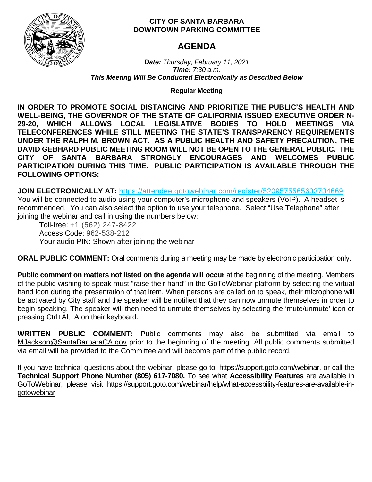

# **CITY OF SANTA BARBARA DOWNTOWN PARKING COMMITTEE**

# **AGENDA**

*Date: Thursday, February 11, 2021 Time: 7:30 a.m. This Meeting Will Be Conducted Electronically as Described Below*

**Regular Meeting**

**IN ORDER TO PROMOTE SOCIAL DISTANCING AND PRIORITIZE THE PUBLIC'S HEALTH AND WELL-BEING, THE GOVERNOR OF THE STATE OF CALIFORNIA ISSUED EXECUTIVE ORDER N-29-20, WHICH ALLOWS LOCAL LEGISLATIVE BODIES TO HOLD MEETINGS VIA TELECONFERENCES WHILE STILL MEETING THE STATE'S TRANSPARENCY REQUIREMENTS UNDER THE RALPH M. BROWN ACT. AS A PUBLIC HEALTH AND SAFETY PRECAUTION, THE DAVID GEBHARD PUBLIC MEETING ROOM WILL NOT BE OPEN TO THE GENERAL PUBLIC. THE CITY OF SANTA BARBARA STRONGLY ENCOURAGES AND WELCOMES PUBLIC PARTICIPATION DURING THIS TIME. PUBLIC PARTICIPATION IS AVAILABLE THROUGH THE FOLLOWING OPTIONS:**

**JOIN ELECTRONICALLY AT:** <https://attendee.gotowebinar.com/register/5209575565633734669>

You will be connected to audio using your computer's microphone and speakers (VoIP). A headset is recommended. You can also select the option to use your telephone. Select "Use Telephone" after joining the webinar and call in using the numbers below:

Toll-free: +1 (562) 247-8422 Access Code: 962-538-212 Your audio PIN: Shown after joining the webinar

**ORAL PUBLIC COMMENT:** Oral comments during a meeting may be made by electronic participation only.

**Public comment on matters not listed on the agenda will occur** at the beginning of the meeting. Members of the public wishing to speak must "raise their hand" in the GoToWebinar platform by selecting the virtual hand icon during the presentation of that item. When persons are called on to speak, their microphone will be activated by City staff and the speaker will be notified that they can now unmute themselves in order to begin speaking. The speaker will then need to unmute themselves by selecting the 'mute/unmute' icon or pressing Ctrl+Alt+A on their keyboard.

**WRITTEN PUBLIC COMMENT:** Public comments may also be submitted via email to [MJackson@SantaBarbaraCA.gov](mailto:MJackson@SantaBarbaraCA.gov) prior to the beginning of the meeting. All public comments submitted via email will be provided to the Committee and will become part of the public record.

If you have technical questions about the webinar, please go to: [https://support.goto.com/webinar,](https://support.goto.com/webinar) or call the **Technical Support Phone Number (805) 617-7080.** To see what **Accessibility Features** are available in GoToWebinar, please visit [https://support.goto.com/webinar/help/what-accessbility-features-are-available-in](https://support.goto.com/webinar/help/what-accessbility-features-are-available-in-gotowebinar)[gotowebinar](https://support.goto.com/webinar/help/what-accessbility-features-are-available-in-gotowebinar)